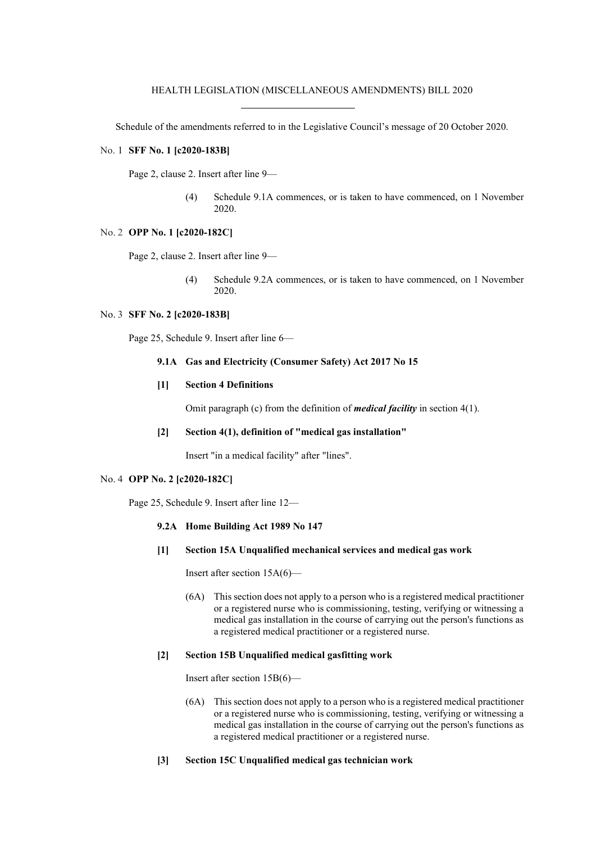Schedule of the amendments referred to in the Legislative Council's message of 20 October 2020.

## No. 1 **SFF No. 1 [c2020-183B]**

Page 2, clause 2. Insert after line 9—

(4) Schedule 9.1A commences, or is taken to have commenced, on 1 November 2020.

## No. 2 **OPP No. 1 [c2020-182C]**

Page 2, clause 2. Insert after line 9—

(4) Schedule 9.2A commences, or is taken to have commenced, on 1 November 2020.

### No. 3 **SFF No. 2 [c2020-183B]**

Page 25, Schedule 9. Insert after line 6—

#### **9.1A Gas and Electricity (Consumer Safety) Act 2017 No 15**

## **[1] Section 4 Definitions**

Omit paragraph (c) from the definition of *medical facility* in section 4(1).

### **[2] Section 4(1), definition of "medical gas installation"**

Insert "in a medical facility" after "lines".

## No. 4 **OPP No. 2 [c2020-182C]**

Page 25, Schedule 9. Insert after line 12—

- **9.2A Home Building Act 1989 No 147**
- **[1] Section 15A Unqualified mechanical services and medical gas work**

Insert after section 15A(6)—

(6A) This section does not apply to a person who is a registered medical practitioner or a registered nurse who is commissioning, testing, verifying or witnessing a medical gas installation in the course of carrying out the person's functions as a registered medical practitioner or a registered nurse.

# **[2] Section 15B Unqualified medical gasfitting work**

Insert after section 15B(6)—

- (6A) This section does not apply to a person who is a registered medical practitioner or a registered nurse who is commissioning, testing, verifying or witnessing a medical gas installation in the course of carrying out the person's functions as a registered medical practitioner or a registered nurse.
- **[3] Section 15C Unqualified medical gas technician work**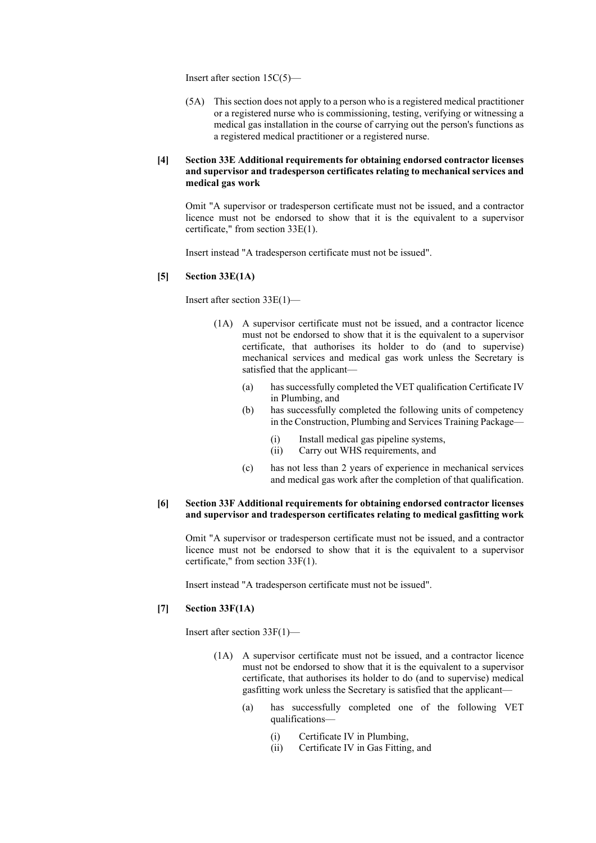Insert after section 15C(5)—

(5A) This section does not apply to a person who is a registered medical practitioner or a registered nurse who is commissioning, testing, verifying or witnessing a medical gas installation in the course of carrying out the person's functions as a registered medical practitioner or a registered nurse.

## **[4] Section 33E Additional requirements for obtaining endorsed contractor licenses and supervisor and tradesperson certificates relating to mechanical services and medical gas work**

Omit "A supervisor or tradesperson certificate must not be issued, and a contractor licence must not be endorsed to show that it is the equivalent to a supervisor certificate," from section 33E(1).

Insert instead "A tradesperson certificate must not be issued".

## **[5] Section 33E(1A)**

Insert after section 33E(1)—

- (1A) A supervisor certificate must not be issued, and a contractor licence must not be endorsed to show that it is the equivalent to a supervisor certificate, that authorises its holder to do (and to supervise) mechanical services and medical gas work unless the Secretary is satisfied that the applicant—
	- (a) has successfully completed the VET qualification Certificate IV in Plumbing, and
	- (b) has successfully completed the following units of competency in the Construction, Plumbing and Services Training Package—
		- (i) Install medical gas pipeline systems,
		- (ii) Carry out WHS requirements, and
	- (c) has not less than 2 years of experience in mechanical services and medical gas work after the completion of that qualification.

# **[6] Section 33F Additional requirements for obtaining endorsed contractor licenses and supervisor and tradesperson certificates relating to medical gasfitting work**

Omit "A supervisor or tradesperson certificate must not be issued, and a contractor licence must not be endorsed to show that it is the equivalent to a supervisor certificate," from section 33F(1).

Insert instead "A tradesperson certificate must not be issued".

## **[7] Section 33F(1A)**

Insert after section 33F(1)—

- (1A) A supervisor certificate must not be issued, and a contractor licence must not be endorsed to show that it is the equivalent to a supervisor certificate, that authorises its holder to do (and to supervise) medical gasfitting work unless the Secretary is satisfied that the applicant—
	- (a) has successfully completed one of the following VET qualifications—
		- (i) Certificate IV in Plumbing,
		- (ii) Certificate IV in Gas Fitting, and